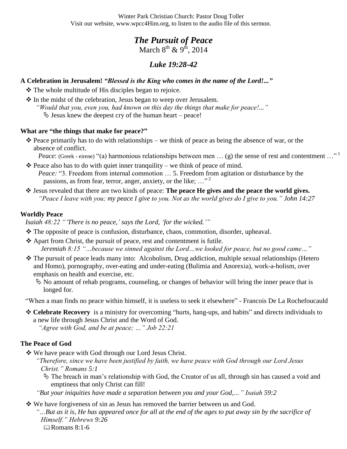Winter Park Christian Church: Pastor Doug Toller Visit our website, www.wpcc4Him.org, to listen to the audio file of this sermon.

# *The Pursuit of Peace* March  $8^{th}$  &  $9^{th}$ , 2014

# *Luke 19:28-42*

#### **A Celebration in Jerusalem!** *"Blessed is the King who comes in the name of the Lord!..."*

 $\triangle$  The whole multitude of His disciples began to rejoice.

 In the midst of the celebration, Jesus began to weep over Jerusalem. *"Would that you, even you, had known on this day the things that make for peace!..."*  $\&$  Jesus knew the deepest cry of the human heart – peace!

#### **What are "the things that make for peace?"**

- $\hat{\mathbf{v}}$  Peace primarily has to do with relationships we think of peace as being the absence of war, or the absence of conflict.
	- *Peace*: (Greek eirene) "(a) harmonious relationships between men ... (g) the sense of rest and contentment ..."<sup>1</sup>
- $\triangle$  Peace also has to do with quiet inner tranquility we think of peace of mind. *Peace:* "3. Freedom from internal commotion … 5. Freedom from agitation or disturbance by the passions, as from fear, terror, anger, anxiety, or the like;  $\ldots$ <sup>2</sup>
- Jesus revealed that there are two kinds of peace: **The peace He gives and the peace the world gives.** *"Peace I leave with you; my peace I give to you. Not as the world gives do I give to you." John 14:27*

#### **Worldly Peace**

*Isaiah 48:22 ""There is no peace," says the Lord, "for the wicked.""*

- $\cdot \cdot$  The opposite of peace is confusion, disturbance, chaos, commotion, disorder, upheaval.
- Apart from Christ, the pursuit of peace, rest and contentment is futile. *Jeremiah 8:15 "…because we sinned against the Lord…we looked for peace, but no good came…"*
- The pursuit of peace leads many into: Alcoholism, Drug addiction, multiple sexual relationships (Hetero and Homo), pornography, over-eating and under-eating (Bulimia and Anorexia), work-a-holism, over emphasis on health and exercise, etc.
	- $\&$  No amount of rehab programs, counseling, or changes of behavior will bring the inner peace that is longed for.

"When a man finds no peace within himself, it is useless to seek it elsewhere" - [Francois De La Rochefoucauld](http://quotationsbook.com/quotes/author/4175/all/)

 **Celebrate Recovery** is a ministry for overcoming "hurts, hang-ups, and habits" and directs individuals to a new life through Jesus Christ and the Word of God.

*"Agree with God, and be at peace; …" Job 22:21*

## **The Peace of God**

We have peace with God through our Lord Jesus Christ.

- *"Therefore, since we have been justified by faith, we have peace with God through our Lord Jesus Christ." Romans 5:1*
	- The breach in man's relationship with God, the Creator of us all, through sin has caused a void and emptiness that only Christ can fill!
- *"But your iniquities have made a separation between you and your God,…" Isaiah 59:2*

We have forgiveness of sin as Jesus has removed the barrier between us and God.

*"…But as it is, He has appeared once for all at the end of the ages to put away sin by the sacrifice of Himself." Hebrews 9:26* **Expanses** 8:1-6